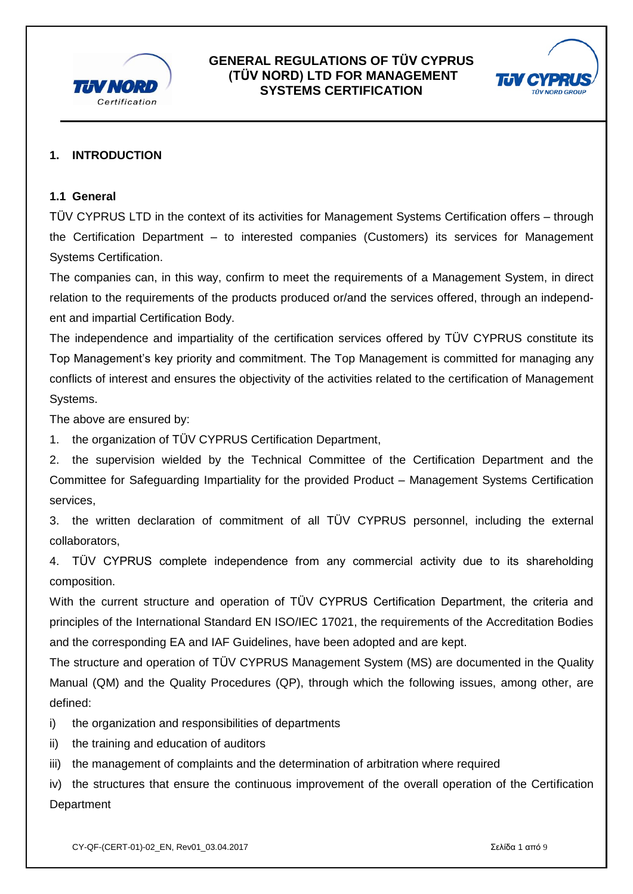



## **1. INTRODUCTION**

#### **1.1 General**

TÜV CYPRUS LTD in the context of its activities for Management Systems Certification offers – through the Certification Department – to interested companies (Customers) its services for Management Systems Certification.

The companies can, in this way, confirm to meet the requirements of a Management System, in direct relation to the requirements of the products produced or/and the services offered, through an independent and impartial Certification Body.

The independence and impartiality of the certification services offered by TÜV CYPRUS constitute its Top Management's key priority and commitment. The Top Management is committed for managing any conflicts of interest and ensures the objectivity of the activities related to the certification of Management Systems.

The above are ensured by:

1. the organization of TÜV CYPRUS Certification Department,

2. the supervision wielded by the Technical Committee of the Certification Department and the Committee for Safeguarding Impartiality for the provided Product – Management Systems Certification services,

3. the written declaration of commitment of all TÜV CYPRUS personnel, including the external collaborators,

4. TÜV CYPRUS complete independence from any commercial activity due to its shareholding composition.

With the current structure and operation of TÜV CYPRUS Certification Department, the criteria and principles of the International Standard EN ISO/IEC 17021, the requirements of the Accreditation Bodies and the corresponding EA and IAF Guidelines, have been adopted and are kept.

The structure and operation of TÜV CYPRUS Management System (MS) are documented in the Quality Manual (QM) and the Quality Procedures (QP), through which the following issues, among other, are defined:

- i) the organization and responsibilities of departments
- ii) the training and education of auditors
- iii) the management of complaints and the determination of arbitration where required

iv) the structures that ensure the continuous improvement of the overall operation of the Certification **Department**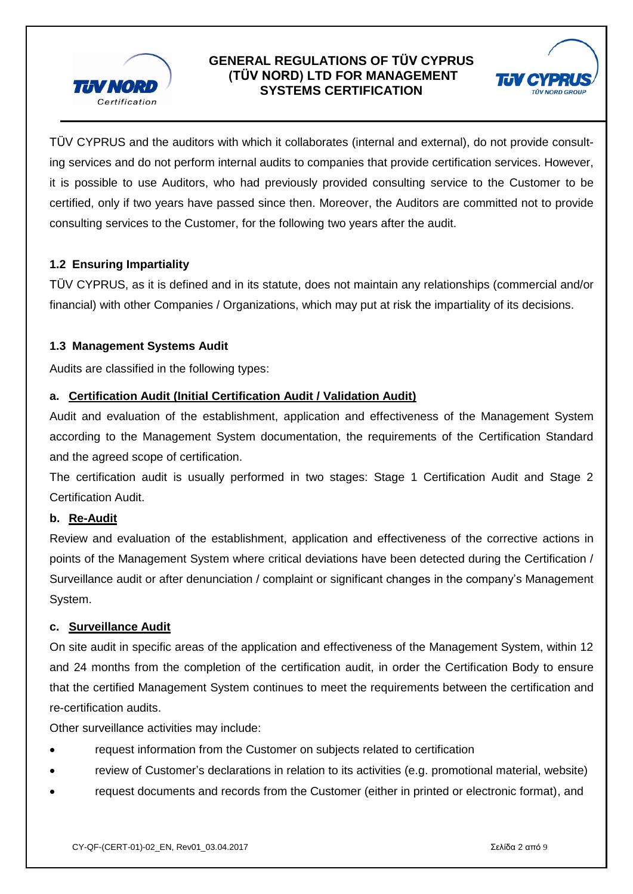



 TÜV CYPRUS and the auditors with which it collaborates (internal and external), do not provide consulting services and do not perform internal audits to companies that provide certification services. However, it is possible to use Auditors, who had previously provided consulting service to the Customer to be certified, only if two years have passed since then. Moreover, the Auditors are committed not to provide consulting services to the Customer, for the following two years after the audit.

## **1.2 Ensuring Impartiality**

TÜV CYPRUS, as it is defined and in its statute, does not maintain any relationships (commercial and/or financial) with other Companies / Organizations, which may put at risk the impartiality of its decisions.

#### **1.3 Management Systems Audit**

Audits are classified in the following types:

#### **a. Certification Audit (Initial Certification Audit / Validation Audit)**

Audit and evaluation of the establishment, application and effectiveness of the Management System according to the Management System documentation, the requirements of the Certification Standard and the agreed scope of certification.

The certification audit is usually performed in two stages: Stage 1 Certification Audit and Stage 2 Certification Audit.

#### **b. Re-Audit**

Review and evaluation of the establishment, application and effectiveness of the corrective actions in points of the Management System where critical deviations have been detected during the Certification / Surveillance audit or after denunciation / complaint or significant changes in the company's Management System.

#### **c. Surveillance Audit**

On site audit in specific areas of the application and effectiveness of the Management System, within 12 and 24 months from the completion of the certification audit, in order the Certification Body to ensure that the certified Management System continues to meet the requirements between the certification and re-certification audits.

Other surveillance activities may include:

- request information from the Customer on subjects related to certification
- review of Customer's declarations in relation to its activities (e.g. promotional material, website)
- request documents and records from the Customer (either in printed or electronic format), and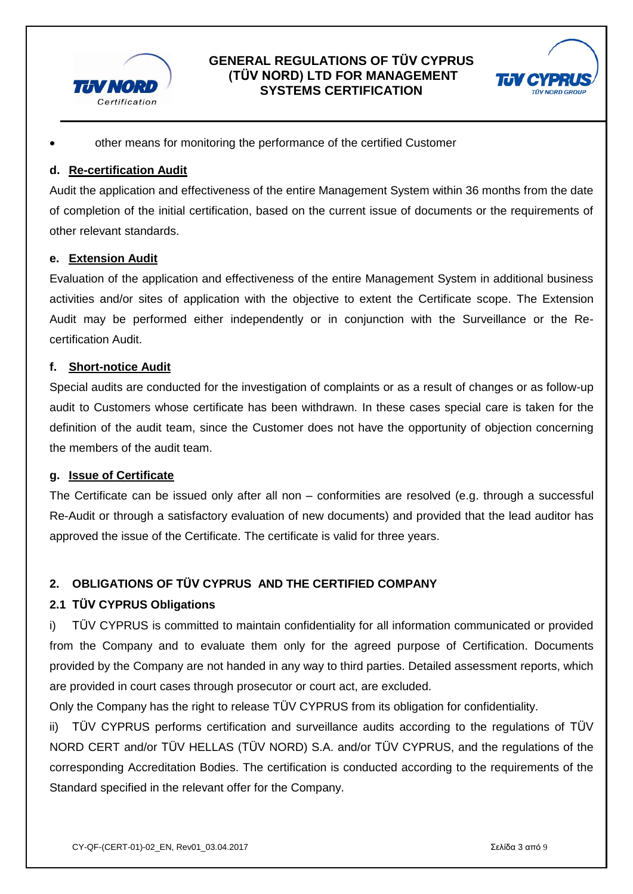



other means for monitoring the performance of the certified Customer

## **d. Re-certification Audit**

Audit the application and effectiveness of the entire Management System within 36 months from the date of completion of the initial certification, based on the current issue of documents or the requirements of other relevant standards.

#### **e. Extension Audit**

Evaluation of the application and effectiveness of the entire Management System in additional business activities and/or sites of application with the objective to extent the Certificate scope. The Extension Audit may be performed either independently or in conjunction with the Surveillance or the Recertification Audit.

#### **f. Short-notice Audit**

Special audits are conducted for the investigation of complaints or as a result of changes or as follow-up audit to Customers whose certificate has been withdrawn. In these cases special care is taken for the definition of the audit team, since the Customer does not have the opportunity of objection concerning the members of the audit team.

#### **g. Issue of Certificate**

The Certificate can be issued only after all non – conformities are resolved (e.g. through a successful Re-Audit or through a satisfactory evaluation of new documents) and provided that the lead auditor has approved the issue of the Certificate. The certificate is valid for three years.

## **2. OBLIGATIONS OF TÜV CYPRUS AND THE CERTIFIED COMPANY**

#### **2.1 TÜV CYPRUS Obligations**

i) TÜV CYPRUS is committed to maintain confidentiality for all information communicated or provided from the Company and to evaluate them only for the agreed purpose of Certification. Documents provided by the Company are not handed in any way to third parties. Detailed assessment reports, which are provided in court cases through prosecutor or court act, are excluded.

Only the Company has the right to release TÜV CYPRUS from its obligation for confidentiality.

ii) TÜV CYPRUS performs certification and surveillance audits according to the regulations of TÜV NORD CERT and/or TÜV HELLAS (TÜV NORD) S.A. and/or TÜV CYPRUS, and the regulations of the corresponding Accreditation Bodies. The certification is conducted according to the requirements of the Standard specified in the relevant offer for the Company.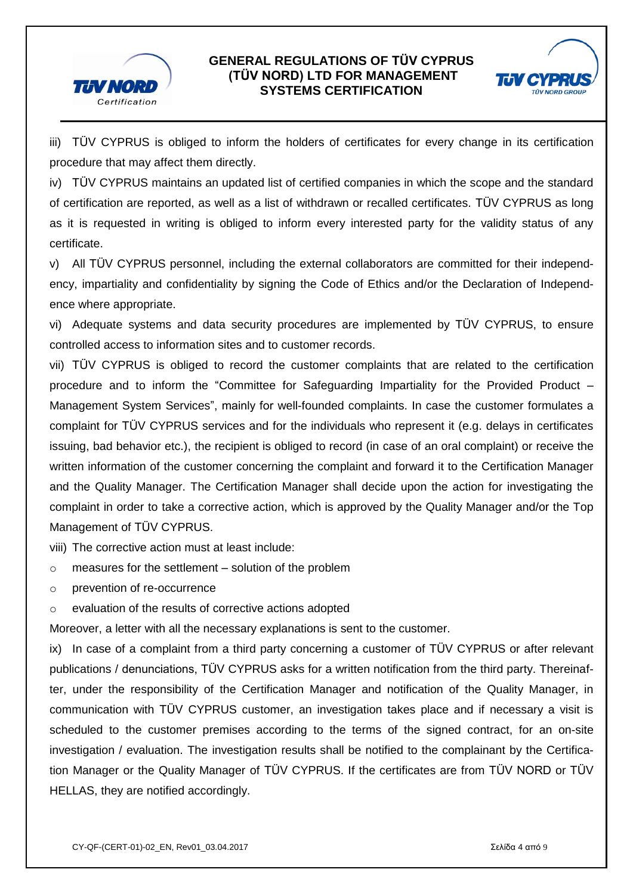



 iii) TÜV CYPRUS is obliged to inform the holders of certificates for every change in its certification procedure that may affect them directly.

iv) TÜV CYPRUS maintains an updated list of certified companies in which the scope and the standard of certification are reported, as well as a list of withdrawn or recalled certificates. TÜV CYPRUS as long as it is requested in writing is obliged to inform every interested party for the validity status of any certificate.

v) All TÜV CYPRUS personnel, including the external collaborators are committed for their independency, impartiality and confidentiality by signing the Code of Ethics and/or the Declaration of Independence where appropriate.

vi) Adequate systems and data security procedures are implemented by TÜV CYPRUS, to ensure controlled access to information sites and to customer records.

vii) TÜV CYPRUS is obliged to record the customer complaints that are related to the certification procedure and to inform the "Committee for Safeguarding Impartiality for the Provided Product – Management System Services", mainly for well-founded complaints. In case the customer formulates a complaint for TÜV CYPRUS services and for the individuals who represent it (e.g. delays in certificates issuing, bad behavior etc.), the recipient is obliged to record (in case of an oral complaint) or receive the written information of the customer concerning the complaint and forward it to the Certification Manager and the Quality Manager. The Certification Manager shall decide upon the action for investigating the complaint in order to take a corrective action, which is approved by the Quality Manager and/or the Top Management of TÜV CYPRUS.

viii) The corrective action must at least include:

- o measures for the settlement solution of the problem
- o prevention of re-occurrence
- o evaluation of the results of corrective actions adopted

Moreover, a letter with all the necessary explanations is sent to the customer.

ix) In case of a complaint from a third party concerning a customer of TÜV CYPRUS or after relevant publications / denunciations, TÜV CYPRUS asks for a written notification from the third party. Thereinafter, under the responsibility of the Certification Manager and notification of the Quality Manager, in communication with TÜV CYPRUS customer, an investigation takes place and if necessary a visit is scheduled to the customer premises according to the terms of the signed contract, for an on-site investigation / evaluation. The investigation results shall be notified to the complainant by the Certification Manager or the Quality Manager of TÜV CYPRUS. If the certificates are from TÜV NORD or TÜV HELLAS, they are notified accordingly.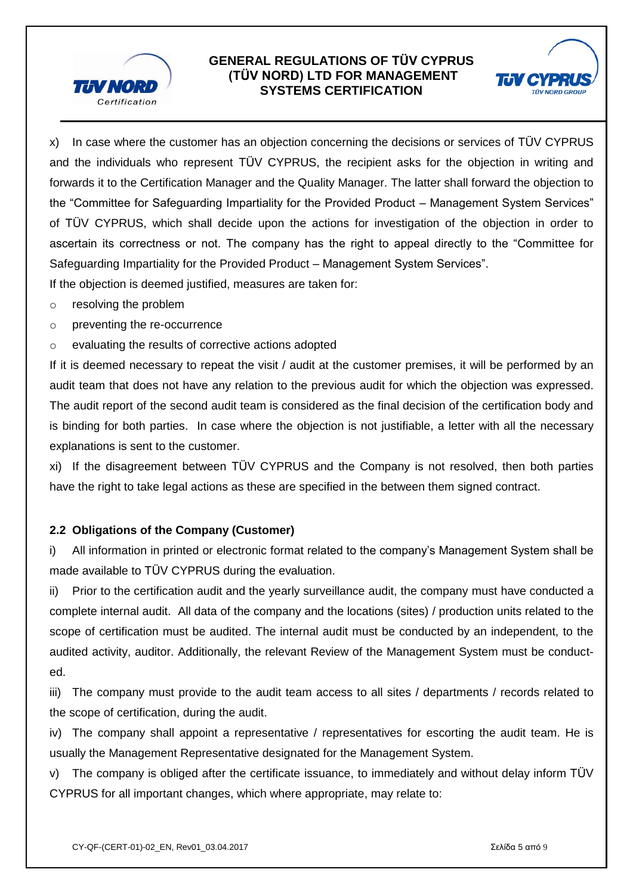



x) In case where the customer has an objection concerning the decisions or services of TÜV CYPRUS and the individuals who represent TÜV CYPRUS, the recipient asks for the objection in writing and forwards it to the Certification Manager and the Quality Manager. The latter shall forward the objection to the "Committee for Safeguarding Impartiality for the Provided Product – Management System Services" of TÜV CYPRUS, which shall decide upon the actions for investigation of the objection in order to ascertain its correctness or not. The company has the right to appeal directly to the "Committee for Safeguarding Impartiality for the Provided Product – Management System Services".

If the objection is deemed justified, measures are taken for:

- o resolving the problem
- o preventing the re-occurrence
- o evaluating the results of corrective actions adopted

If it is deemed necessary to repeat the visit / audit at the customer premises, it will be performed by an audit team that does not have any relation to the previous audit for which the objection was expressed. The audit report of the second audit team is considered as the final decision of the certification body and is binding for both parties. In case where the objection is not justifiable, a letter with all the necessary explanations is sent to the customer.

xi) If the disagreement between TÜV CYPRUS and the Company is not resolved, then both parties have the right to take legal actions as these are specified in the between them signed contract.

#### **2.2 Obligations of the Company (Customer)**

i) All information in printed or electronic format related to the company's Management System shall be made available to TÜV CYPRUS during the evaluation.

ii) Prior to the certification audit and the yearly surveillance audit, the company must have conducted a complete internal audit. All data of the company and the locations (sites) / production units related to the scope of certification must be audited. The internal audit must be conducted by an independent, to the audited activity, auditor. Additionally, the relevant Review of the Management System must be conducted.

iii) The company must provide to the audit team access to all sites / departments / records related to the scope of certification, during the audit.

iv) The company shall appoint a representative / representatives for escorting the audit team. He is usually the Management Representative designated for the Management System.

v) The company is obliged after the certificate issuance, to immediately and without delay inform TÜV CYPRUS for all important changes, which where appropriate, may relate to: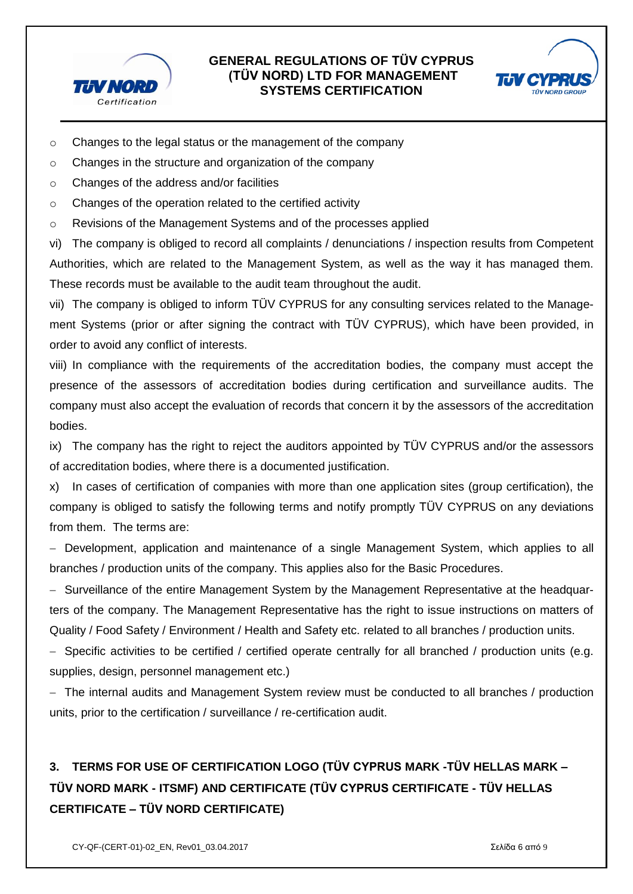



- o Changes to the legal status or the management of the company
- o Changes in the structure and organization of the company
- o Changes of the address and/or facilities
- o Changes of the operation related to the certified activity
- o Revisions of the Management Systems and of the processes applied

vi) The company is obliged to record all complaints / denunciations / inspection results from Competent Authorities, which are related to the Management System, as well as the way it has managed them. These records must be available to the audit team throughout the audit.

vii) The company is obliged to inform TÜV CYPRUS for any consulting services related to the Management Systems (prior or after signing the contract with TÜV CYPRUS), which have been provided, in order to avoid any conflict of interests.

viii) In compliance with the requirements of the accreditation bodies, the company must accept the presence of the assessors of accreditation bodies during certification and surveillance audits. The company must also accept the evaluation of records that concern it by the assessors of the accreditation bodies.

ix) The company has the right to reject the auditors appointed by TÜV CYPRUS and/or the assessors of accreditation bodies, where there is a documented justification.

x) In cases of certification of companies with more than one application sites (group certification), the company is obliged to satisfy the following terms and notify promptly TÜV CYPRUS on any deviations from them. The terms are:

 Development, application and maintenance of a single Management System, which applies to all branches / production units of the company. This applies also for the Basic Procedures.

- Surveillance of the entire Management System by the Management Representative at the headquarters of the company. The Management Representative has the right to issue instructions on matters of Quality / Food Safety / Environment / Health and Safety etc. related to all branches / production units.

- Specific activities to be certified / certified operate centrally for all branched / production units (e.g. supplies, design, personnel management etc.)

 The internal audits and Management System review must be conducted to all branches / production units, prior to the certification / surveillance / re-certification audit.

# **3. TERMS FOR USE OF CERTIFICATION LOGO (TÜV CYPRUS MARK -TÜV HELLAS MARK – TÜV NORD MARK - ITSMF) AND CERTIFICATE (TÜV CYPRUS CERTIFICATE - TÜV HELLAS CERTIFICATE – TÜV NORD CERTIFICATE)**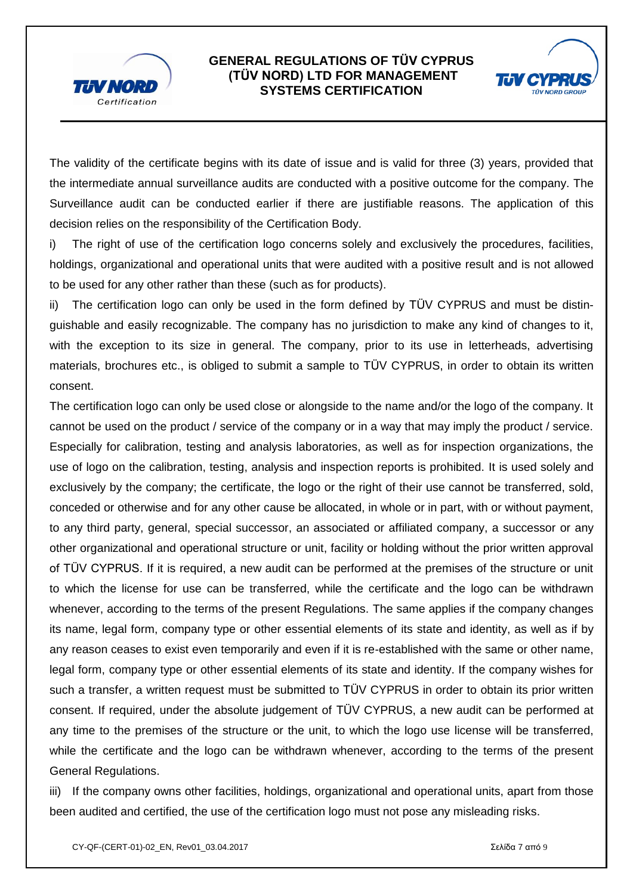



The validity of the certificate begins with its date of issue and is valid for three (3) years, provided that the intermediate annual surveillance audits are conducted with a positive outcome for the company. The Surveillance audit can be conducted earlier if there are justifiable reasons. The application of this decision relies on the responsibility of the Certification Body.

i) The right of use of the certification logo concerns solely and exclusively the procedures, facilities, holdings, organizational and operational units that were audited with a positive result and is not allowed to be used for any other rather than these (such as for products).

ii) The certification logo can only be used in the form defined by TÜV CYPRUS and must be distinguishable and easily recognizable. The company has no jurisdiction to make any kind of changes to it, with the exception to its size in general. The company, prior to its use in letterheads, advertising materials, brochures etc., is obliged to submit a sample to TÜV CYPRUS, in order to obtain its written consent.

The certification logo can only be used close or alongside to the name and/or the logo of the company. It cannot be used on the product / service of the company or in a way that may imply the product / service. Especially for calibration, testing and analysis laboratories, as well as for inspection organizations, the use of logo on the calibration, testing, analysis and inspection reports is prohibited. It is used solely and exclusively by the company; the certificate, the logo or the right of their use cannot be transferred, sold, conceded or otherwise and for any other cause be allocated, in whole or in part, with or without payment, to any third party, general, special successor, an associated or affiliated company, a successor or any other organizational and operational structure or unit, facility or holding without the prior written approval of TÜV CYPRUS. If it is required, a new audit can be performed at the premises of the structure or unit to which the license for use can be transferred, while the certificate and the logo can be withdrawn whenever, according to the terms of the present Regulations. The same applies if the company changes its name, legal form, company type or other essential elements of its state and identity, as well as if by any reason ceases to exist even temporarily and even if it is re-established with the same or other name, legal form, company type or other essential elements of its state and identity. If the company wishes for such a transfer, a written request must be submitted to TÜV CYPRUS in order to obtain its prior written consent. If required, under the absolute judgement of TÜV CYPRUS, a new audit can be performed at any time to the premises of the structure or the unit, to which the logo use license will be transferred, while the certificate and the logo can be withdrawn whenever, according to the terms of the present General Regulations.

iii) If the company owns other facilities, holdings, organizational and operational units, apart from those been audited and certified, the use of the certification logo must not pose any misleading risks.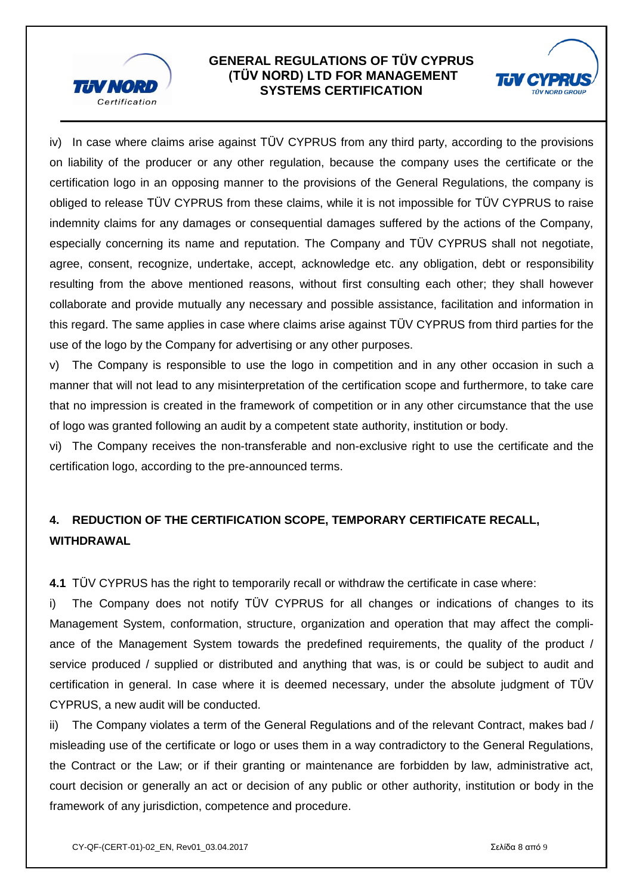



 iv) In case where claims arise against TÜV CYPRUS from any third party, according to the provisions on liability of the producer or any other regulation, because the company uses the certificate or the certification logo in an opposing manner to the provisions of the General Regulations, the company is obliged to release TÜV CYPRUS from these claims, while it is not impossible for TÜV CYPRUS to raise indemnity claims for any damages or consequential damages suffered by the actions of the Company, especially concerning its name and reputation. The Company and TÜV CYPRUS shall not negotiate, agree, consent, recognize, undertake, accept, acknowledge etc. any obligation, debt or responsibility resulting from the above mentioned reasons, without first consulting each other; they shall however collaborate and provide mutually any necessary and possible assistance, facilitation and information in this regard. The same applies in case where claims arise against TÜV CYPRUS from third parties for the use of the logo by the Company for advertising or any other purposes.

v) The Company is responsible to use the logo in competition and in any other occasion in such a manner that will not lead to any misinterpretation of the certification scope and furthermore, to take care that no impression is created in the framework of competition or in any other circumstance that the use of logo was granted following an audit by a competent state authority, institution or body.

vi) The Company receives the non-transferable and non-exclusive right to use the certificate and the certification logo, according to the pre-announced terms.

## **4. REDUCTION OF THE CERTIFICATION SCOPE, TEMPORARY CERTIFICATE RECALL, WITHDRAWAL**

**4.1** TÜV CYPRUS has the right to temporarily recall or withdraw the certificate in case where:

i) The Company does not notify TÜV CYPRUS for all changes or indications of changes to its Management System, conformation, structure, organization and operation that may affect the compliance of the Management System towards the predefined requirements, the quality of the product / service produced / supplied or distributed and anything that was, is or could be subject to audit and certification in general. In case where it is deemed necessary, under the absolute judgment of TÜV CYPRUS, a new audit will be conducted.

ii) The Company violates a term of the General Regulations and of the relevant Contract, makes bad / misleading use of the certificate or logo or uses them in a way contradictory to the General Regulations, the Contract or the Law; or if their granting or maintenance are forbidden by law, administrative act, court decision or generally an act or decision of any public or other authority, institution or body in the framework of any jurisdiction, competence and procedure.